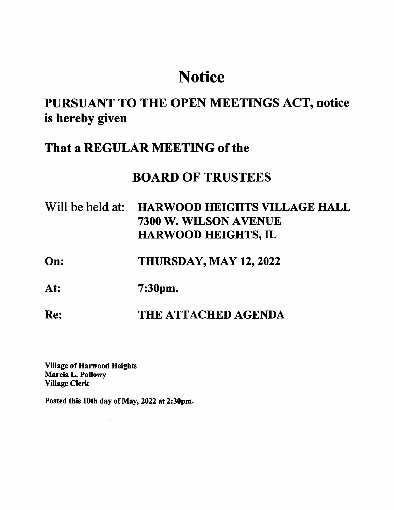# **Notice**

# PURSUANT TO THE OPEN MEETINGS ACT, notice is hereby given

### That a REGULAR MEETING of the

## BOARD OF TRUSTEES

- Will be held at: HARWOOD HEIGHTS VILLAGE HALL 7300 W. WILSON AVENUE HARWOOD HEIGHTS, IL
- On: THURSDAY, MAY 12,2022
- At: 7:30pm.
- Re: THE ATTACHED AGENDA

Village of Harwood Heights Mareia L. Pollowy Village Clerk

Posted this 10th day of May, 2022 at 2:30pm.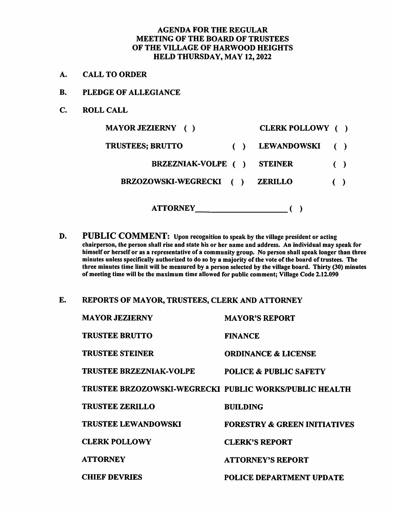#### AGENDA FOR THE REGULAR MEETING OF THE BOARD OF TRUSTEES OF THE VILLAGE OF HARWOOD HEIGHTS HELD THURSDAY, MAY 12,2022

- A. CALL TO ORDER
- B. PLEDGE OF ALLEGIANCE
- C. ROLL CALL

| <b>MAYOR JEZIERNY</b> ()        | CLERK POLLOWY ()   |                        |  |
|---------------------------------|--------------------|------------------------|--|
| <b>TRUSTEES; BRUTTO</b>         | <b>LEWANDOWSKI</b> |                        |  |
| <b>BRZEZNIAK-VOLPE</b> ()       | <b>STEINER</b>     | $\left( \quad \right)$ |  |
| <b>BRZOZOWSKI-WEGRECKI</b><br>( | <b>ZERILLO</b>     | $\left( \quad \right)$ |  |
| <b>ATTORNEY</b>                 |                    |                        |  |

- D. PUBLIC COMMENT: Upon recognition to speak by the village president or acting chairperson, the person shall rise and state his or her name and address. An individual may speak for himself or herself or as a representative of a community group. No person shall speak longer than three minutes unless specifically authorized to do so by a majority of the vote of the board of trustees. The three minutes time limit will be measured by a person selected by the village board. Thirty (30) minutes of meeting time will be the maximum time allowed for public comment; Village Code 2.12.090
- E. REPORTS OF MAYOR, TRUSTEES, CLERK AND ATTORNEY

| <b>MAYOR JEZIERNY</b>                                  | <b>MAYOR'S REPORT</b>                   |
|--------------------------------------------------------|-----------------------------------------|
| <b>TRUSTEE BRUTTO</b>                                  | <b>FINANCE</b>                          |
| <b>TRUSTEE STEINER</b>                                 | <b>ORDINANCE &amp; LICENSE</b>          |
| <b>TRUSTEE BRZEZNIAK-VOLPE</b>                         | <b>POLICE &amp; PUBLIC SAFETY</b>       |
| TRUSTEE BRZOZOWSKI-WEGRECKI PUBLIC WORKS/PUBLIC HEALTH |                                         |
| <b>TRUSTEE ZERILLO</b>                                 | <b>BUILDING</b>                         |
| <b>TRUSTEE LEWANDOWSKI</b>                             | <b>FORESTRY &amp; GREEN INITIATIVES</b> |
| <b>CLERK POLLOWY</b>                                   | <b>CLERK'S REPORT</b>                   |
| <b>ATTORNEY</b>                                        | <b>ATTORNEY'S REPORT</b>                |
| <b>CHIEF DEVRIES</b>                                   | <b>POLICE DEPARTMENT UPDATE</b>         |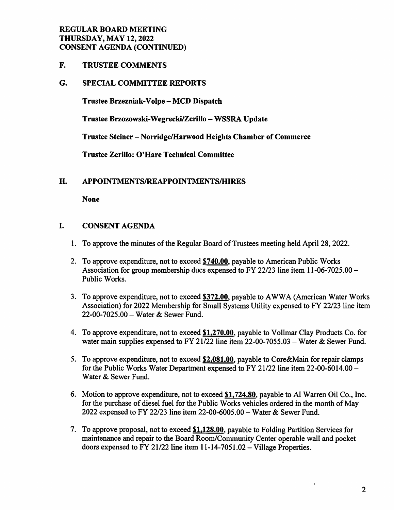#### REGULAR BOARD MEETING THURSDAY, MAY 12,2022 CONSENT AGENDA (CONTINUED)

F. TRUSTEE COMMENTS

#### G. SPECIAL COMMITTEE REPORTS

Trustee Brzezniak-Volpe - MCD Dispatch

Trustee Brzozowski-Wegrecki/Zerillo - WSSRA Update

Trustee Steiner - Norridge/Hanvood Heights Chamber of Commerce

Trustee Zerillo: O'Hare Technical Committee

#### H. APPOINTMENTS/REAPPOINTMENTS/HIRES

None

#### I. CONSENT AGENDA

- 1. To approve the minutes of the Regular Board of Trustees meeting held April 28,2022.
- 2. To approve expenditure, not to exceed \$740.00, payable to American Public Works Association for group membership dues expensed to FY 22/23 line item 11-06-7025.00 - Public Works.
- 3. To approve expenditure, not to exceed \$372.00. payable to AWWA (American Water Works Association) for 2022 Membership for Small Systems Utility expensed to FY 22/23 line item 22-00-7025.00 - Water & Sewer Fund.
- 4. To approve expenditure, not to exceed \$1.270.00. payable to Vollmar Clay Products Co. for water main supplies expensed to FY 21/22 line item 22-00-7055.03 - Water & Sewer Fund.
- 5. To approve expenditure, not to exceed \$2.081.00. payable to Core&Main for repair clamps for the Public Works Water Department expensed to FY 21/22 line item 22-00-6014.00 - Water & Sewer Fund.
- 6. Motion to approve expenditure, not to exceed \$1.724.80. payable to A1 Warren Oil Co., Inc. for the purchase of diesel fuel for the Public Works vehicles ordered in the month of May 2022 expensed to FY 22/23 line item 22-00-6005.00 - Water & Sewer Fund.
- 7. To approve proposal, not to exceed \$1.128.00. payable to Folding Partition Services for maintenance and repair to the Board Room/Community Center operable wall and pocket doors expensed to FY 21/22 line item 11-14-7051.02 - Village Properties.

 $\bullet$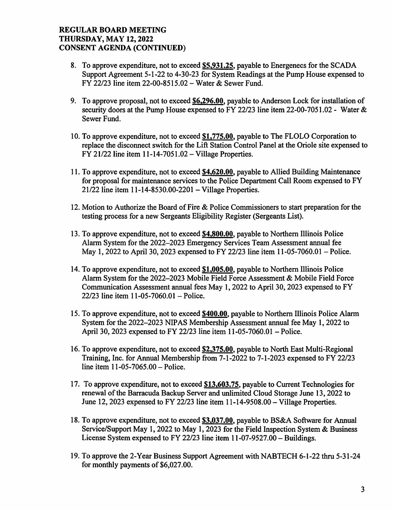#### REGULAR BOARD MEETING THURSDAY, MAY 12,2022 CONSENT AGENDA (CONTINUED)

- 8. To approve expenditure, not to exceed \$5,931.25, payable to Energenecs for the SCADA Support Agreement 5-1-22 to 4-30-23 for System Readings at the Pump House expensed to FY 22/23 line item 22-00-8515,02 - Water & Sewer Fund.
- 9. To approve proposal, not to exceed \$6,296.00, payable to Anderson Lock for installation of security doors at the Pump House expensed to FY 22/23 line item 22-00-7051.02 - Water & Sewer Fund.
- 10. To approve expenditure, not to exceed  $$1,775.00$ , payable to The FLOLO Corporation to replace the disconnect switch for the Lift Station Control Panel at the Oriole site expensed to FY 21/22 line item  $11-14-7051.02 -$  Village Properties.
- 11. To approve expenditure, not to exceed \$4.620.00. payable to Allied Building Maintenance for proposal for maintenance services to the Police Department Call Room expensed to FY 21/22 line item 11-14-8530.00-2201 - Village Properties.
- 12. Motion to Authorize the Board of Fire & Police Commissioners to start preparation for the testing process for a new Sergeants Eligibility Register (Sergeants List).
- 13. To approve expenditure, not to exceed \$4,800.00, payable to Northern Illinois Police Alarm System for the 2022-2023 Emergency Services Team Assessment annual fee May 1, 2022 to April 30, 2023 expensed to FY 22/23 line item 11-05-7060.01 – Police.
- 14. To approve expenditure, not to exceed  $$1,005.00$ , payable to Northern Illinois Police Alarm System for the 2022-2023 Mobile Field Force Assessment & Mobile Field Force Communication Assessment annual fees May 1,2022 to April 30,2023 expensed to FY 22/23 line item  $11-05-7060.01$  – Police.
- 15. To approve expenditure, not to exceed \$400.00, payable to Northern Illinois Police Alarm System for the 2022-2023 NIPAS Membership Assessment annual fee May 1, 2022 to April 30,2023 expensed to FY 22/23 line item 11-05-7060.01 - Police.
- 16. To approve expenditure, not to exceed \$2,375.00, payable to North East Multi-Regional Training, Inc. for Annual Membership from 7-1-2022 to 7-1-2023 expensed to FY 22/23 line item  $11 - 05 - 7065.00 -$  Police.
- 17. To approve expenditure, not to exceed \$13.603.75. payable to Current Technologies for renewal of the Barracuda Backup Server and imlimited Cloud Storage June 13,2022 to June 12, 2023 expensed to FY 22/23 line item  $11-14-9508.00$  – Village Properties.
- 18. To approve expenditure, not to exceed \$3,037.00, payable to BS&A Software for Annual Service/Support May 1, 2022 to May 1, 2023 for the Field Inspection System & Business License System expensed to FY 22/23 line item 11-07-9527.00 - Buildings.
- 19. To approve the 2-Year Business Support Agreement with NABTECH 6-1-22 thru 5-31-24 for monthly payments of \$6,027.00.